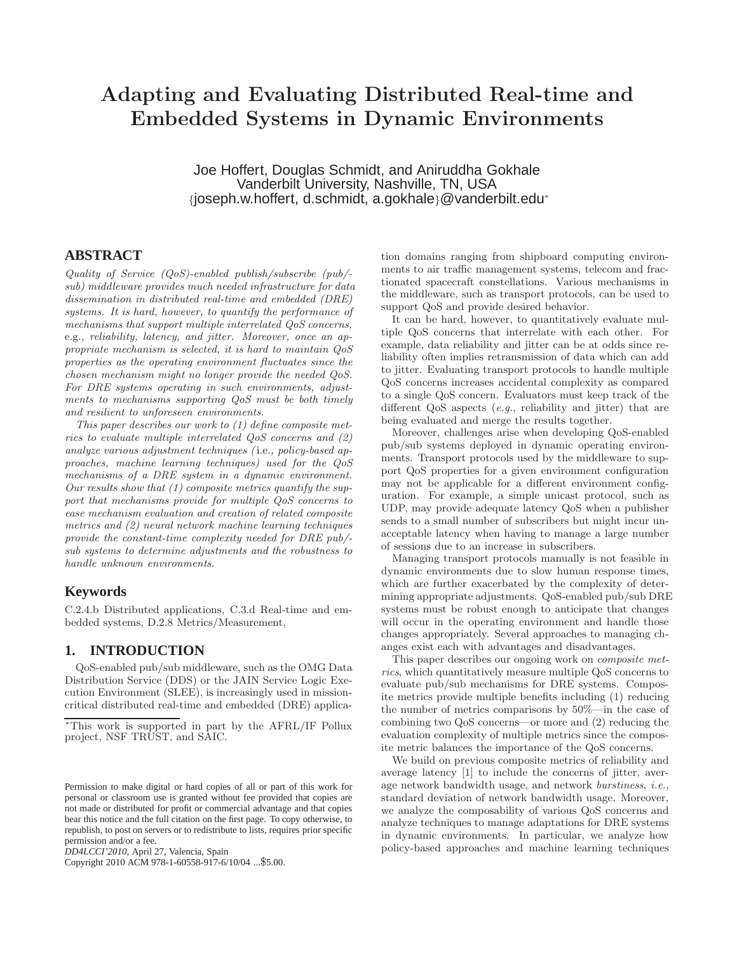# Adapting and Evaluating Distributed Real-time and Embedded Systems in Dynamic Environments

Joe Hoffert, Douglas Schmidt, and Aniruddha Gokhale Vanderbilt University, Nashville, TN, USA {joseph.w.hoffert, d.schmidt, a.gokhale}@vanderbilt.edu<sup>∗</sup>

## **ABSTRACT**

Quality of Service (QoS)-enabled publish/subscribe (pub/ sub) middleware provides much needed infrastructure for data dissemination in distributed real-time and embedded (DRE) systems. It is hard, however, to quantify the performance of mechanisms that support multiple interrelated QoS concerns, e.g., reliability, latency, and jitter. Moreover, once an appropriate mechanism is selected, it is hard to maintain QoS properties as the operating environment fluctuates since the chosen mechanism might no longer provide the needed QoS. For DRE systems operating in such environments, adjustments to mechanisms supporting QoS must be both timely and resilient to unforeseen environments.

This paper describes our work to (1) define composite metrics to evaluate multiple interrelated QoS concerns and (2) analyze various adjustment techniques ( i.e., policy-based approaches, machine learning techniques) used for the QoS mechanisms of a DRE system in a dynamic environment. Our results show that  $(1)$  composite metrics quantify the support that mechanisms provide for multiple QoS concerns to ease mechanism evaluation and creation of related composite metrics and (2) neural network machine learning techniques provide the constant-time complexity needed for DRE pub/ sub systems to determine adjustments and the robustness to handle unknown environments.

## **Keywords**

C.2.4.b Distributed applications, C.3.d Real-time and embedded systems, D.2.8 Metrics/Measurement,

## **1. INTRODUCTION**

QoS-enabled pub/sub middleware, such as the OMG Data Distribution Service (DDS) or the JAIN Service Logic Execution Environment (SLEE), is increasingly used in missioncritical distributed real-time and embedded (DRE) applica-

Copyright 2010 ACM 978-1-60558-917-6/10/04 ...\$5.00.

tion domains ranging from shipboard computing environments to air traffic management systems, telecom and fractionated spacecraft constellations. Various mechanisms in the middleware, such as transport protocols, can be used to support QoS and provide desired behavior.

It can be hard, however, to quantitatively evaluate multiple QoS concerns that interrelate with each other. For example, data reliability and jitter can be at odds since reliability often implies retransmission of data which can add to jitter. Evaluating transport protocols to handle multiple QoS concerns increases accidental complexity as compared to a single QoS concern. Evaluators must keep track of the different QoS aspects (e.g., reliability and jitter) that are being evaluated and merge the results together.

Moreover, challenges arise when developing QoS-enabled pub/sub systems deployed in dynamic operating environments. Transport protocols used by the middleware to support QoS properties for a given environment configuration may not be applicable for a different environment configuration. For example, a simple unicast protocol, such as UDP, may provide adequate latency QoS when a publisher sends to a small number of subscribers but might incur unacceptable latency when having to manage a large number of sessions due to an increase in subscribers.

Managing transport protocols manually is not feasible in dynamic environments due to slow human response times, which are further exacerbated by the complexity of determining appropriate adjustments. QoS-enabled pub/sub DRE systems must be robust enough to anticipate that changes will occur in the operating environment and handle those changes appropriately. Several approaches to managing changes exist each with advantages and disadvantages.

This paper describes our ongoing work on composite metrics, which quantitatively measure multiple QoS concerns to evaluate pub/sub mechanisms for DRE systems. Composite metrics provide multiple benefits including (1) reducing the number of metrics comparisons by 50%—in the case of combining two QoS concerns—or more and (2) reducing the evaluation complexity of multiple metrics since the composite metric balances the importance of the QoS concerns.

We build on previous composite metrics of reliability and average latency [1] to include the concerns of jitter, average network bandwidth usage, and network burstiness, i.e., standard deviation of network bandwidth usage. Moreover, we analyze the composability of various QoS concerns and analyze techniques to manage adaptations for DRE systems in dynamic environments. In particular, we analyze how policy-based approaches and machine learning techniques

<sup>∗</sup>This work is supported in part by the AFRL/IF Pollux project, NSF TRUST, and SAIC.

Permission to make digital or hard copies of all or part of this work for personal or classroom use is granted without fee provided that copies are not made or distributed for profit or commercial advantage and that copies bear this notice and the full citation on the first page. To copy otherwise, to republish, to post on servers or to redistribute to lists, requires prior specific permission and/or a fee.

*DD4LCCI'2010,* April 27, Valencia, Spain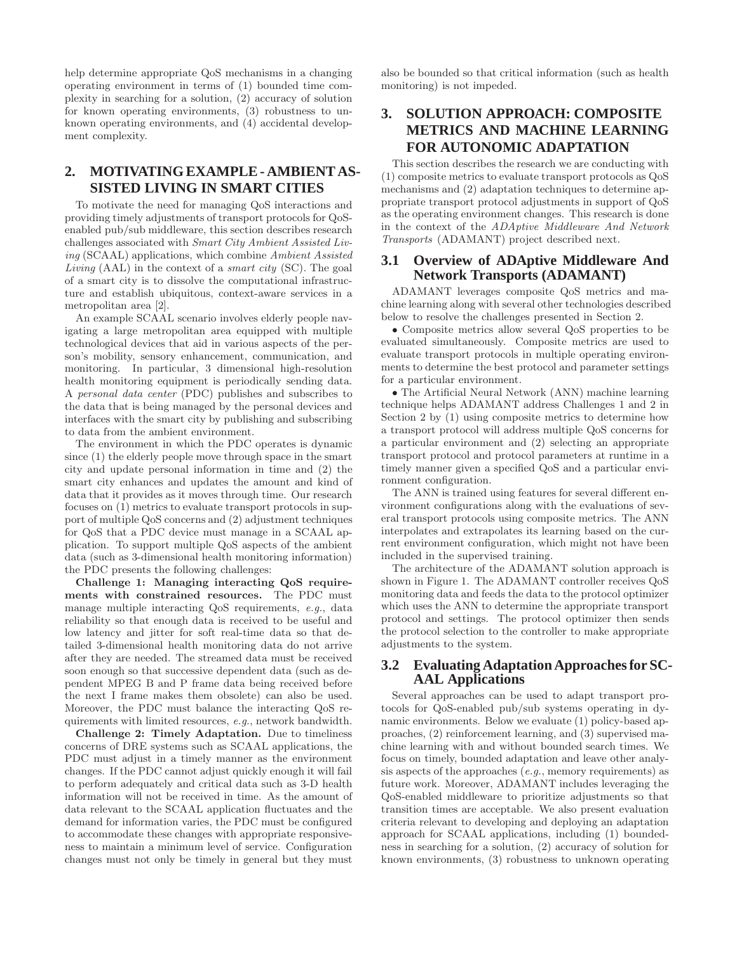help determine appropriate QoS mechanisms in a changing operating environment in terms of (1) bounded time complexity in searching for a solution, (2) accuracy of solution for known operating environments, (3) robustness to unknown operating environments, and (4) accidental development complexity.

# **2. MOTIVATING EXAMPLE - AMBIENT AS-SISTED LIVING IN SMART CITIES**

To motivate the need for managing QoS interactions and providing timely adjustments of transport protocols for QoSenabled pub/sub middleware, this section describes research challenges associated with Smart City Ambient Assisted Living (SCAAL) applications, which combine Ambient Assisted *Living*  $(AAL)$  in the context of a *smart city*  $(SC)$ . The goal of a smart city is to dissolve the computational infrastructure and establish ubiquitous, context-aware services in a metropolitan area [2].

An example SCAAL scenario involves elderly people navigating a large metropolitan area equipped with multiple technological devices that aid in various aspects of the person's mobility, sensory enhancement, communication, and monitoring. In particular, 3 dimensional high-resolution health monitoring equipment is periodically sending data. A personal data center (PDC) publishes and subscribes to the data that is being managed by the personal devices and interfaces with the smart city by publishing and subscribing to data from the ambient environment.

The environment in which the PDC operates is dynamic since (1) the elderly people move through space in the smart city and update personal information in time and (2) the smart city enhances and updates the amount and kind of data that it provides as it moves through time. Our research focuses on (1) metrics to evaluate transport protocols in support of multiple QoS concerns and (2) adjustment techniques for QoS that a PDC device must manage in a SCAAL application. To support multiple QoS aspects of the ambient data (such as 3-dimensional health monitoring information) the PDC presents the following challenges:

Challenge 1: Managing interacting QoS requirements with constrained resources. The PDC must manage multiple interacting QoS requirements, e.g., data reliability so that enough data is received to be useful and low latency and jitter for soft real-time data so that detailed 3-dimensional health monitoring data do not arrive after they are needed. The streamed data must be received soon enough so that successive dependent data (such as dependent MPEG B and P frame data being received before the next I frame makes them obsolete) can also be used. Moreover, the PDC must balance the interacting QoS requirements with limited resources, e.g., network bandwidth.

Challenge 2: Timely Adaptation. Due to timeliness concerns of DRE systems such as SCAAL applications, the PDC must adjust in a timely manner as the environment changes. If the PDC cannot adjust quickly enough it will fail to perform adequately and critical data such as 3-D health information will not be received in time. As the amount of data relevant to the SCAAL application fluctuates and the demand for information varies, the PDC must be configured to accommodate these changes with appropriate responsiveness to maintain a minimum level of service. Configuration changes must not only be timely in general but they must

also be bounded so that critical information (such as health monitoring) is not impeded.

# **3. SOLUTION APPROACH: COMPOSITE METRICS AND MACHINE LEARNING FOR AUTONOMIC ADAPTATION**

This section describes the research we are conducting with (1) composite metrics to evaluate transport protocols as QoS mechanisms and (2) adaptation techniques to determine appropriate transport protocol adjustments in support of QoS as the operating environment changes. This research is done in the context of the ADAptive Middleware And Network Transports (ADAMANT) project described next.

## **3.1 Overview of ADAptive Middleware And Network Transports (ADAMANT)**

ADAMANT leverages composite QoS metrics and machine learning along with several other technologies described below to resolve the challenges presented in Section 2.

• Composite metrics allow several QoS properties to be evaluated simultaneously. Composite metrics are used to evaluate transport protocols in multiple operating environments to determine the best protocol and parameter settings for a particular environment.

• The Artificial Neural Network (ANN) machine learning technique helps ADAMANT address Challenges 1 and 2 in Section 2 by (1) using composite metrics to determine how a transport protocol will address multiple QoS concerns for a particular environment and (2) selecting an appropriate transport protocol and protocol parameters at runtime in a timely manner given a specified QoS and a particular environment configuration.

The ANN is trained using features for several different environment configurations along with the evaluations of several transport protocols using composite metrics. The ANN interpolates and extrapolates its learning based on the current environment configuration, which might not have been included in the supervised training.

The architecture of the ADAMANT solution approach is shown in Figure 1. The ADAMANT controller receives QoS monitoring data and feeds the data to the protocol optimizer which uses the ANN to determine the appropriate transport protocol and settings. The protocol optimizer then sends the protocol selection to the controller to make appropriate adjustments to the system.

## **3.2 Evaluating Adaptation Approaches for SC-AAL Applications**

Several approaches can be used to adapt transport protocols for QoS-enabled pub/sub systems operating in dynamic environments. Below we evaluate (1) policy-based approaches, (2) reinforcement learning, and (3) supervised machine learning with and without bounded search times. We focus on timely, bounded adaptation and leave other analysis aspects of the approaches (e.g., memory requirements) as future work. Moreover, ADAMANT includes leveraging the QoS-enabled middleware to prioritize adjustments so that transition times are acceptable. We also present evaluation criteria relevant to developing and deploying an adaptation approach for SCAAL applications, including (1) boundedness in searching for a solution, (2) accuracy of solution for known environments, (3) robustness to unknown operating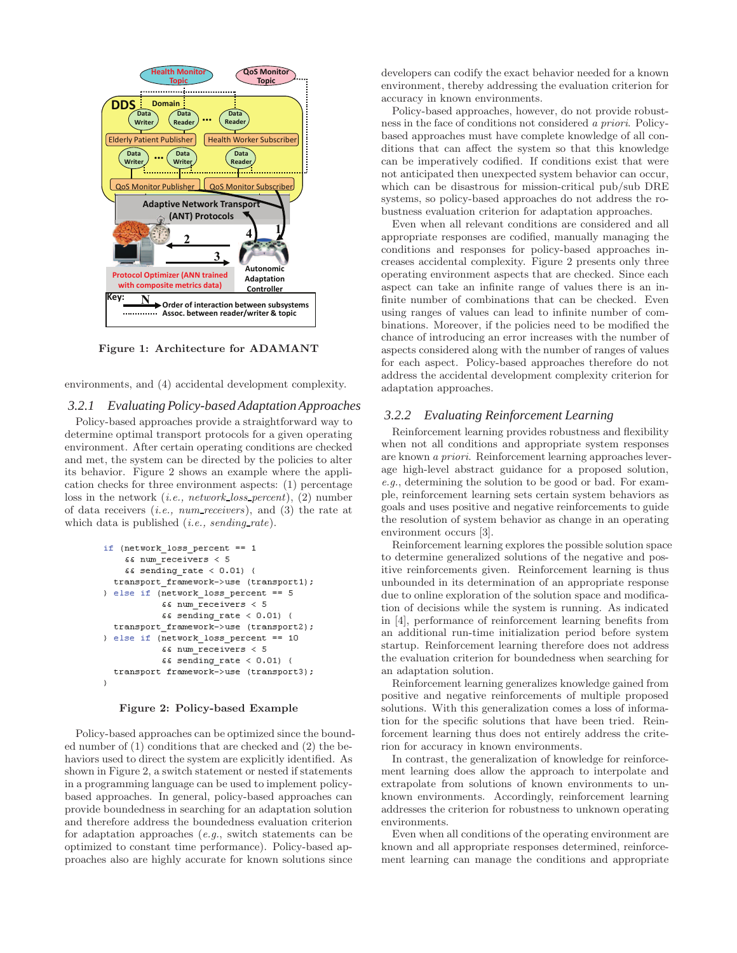

Figure 1: Architecture for ADAMANT

environments, and (4) accidental development complexity.

## *3.2.1 Evaluating Policy-based Adaptation Approaches*

Policy-based approaches provide a straightforward way to determine optimal transport protocols for a given operating environment. After certain operating conditions are checked and met, the system can be directed by the policies to alter its behavior. Figure 2 shows an example where the application checks for three environment aspects: (1) percentage loss in the network (*i.e.*, *network\_loss\_percent*), (2) number of data receivers  $(i.e., num\_receivers)$ , and  $(3)$  the rate at which data is published  $(i.e., sending_rate)$ .

```
if (network loss percent == 1\& num receivers < 5
    \epsilon \epsilon sending_rate < 0.01) {
  transport framework->use (transport1);
} else if (network_loss_percent == 5
            \&\& num receivers < 5
            \epsilon\epsilon sending rate < 0.01) {
  transport framework->use (transport2);
} else if (network loss percent == 10
            \&\& num_receivers < 5
            \&\& sending_rate < 0.01) {
  transport framework->use (transport3);
\mathcal{E}
```
#### Figure 2: Policy-based Example

Policy-based approaches can be optimized since the bounded number of (1) conditions that are checked and (2) the behaviors used to direct the system are explicitly identified. As shown in Figure 2, a switch statement or nested if statements in a programming language can be used to implement policybased approaches. In general, policy-based approaches can provide boundedness in searching for an adaptation solution and therefore address the boundedness evaluation criterion for adaptation approaches (e.g., switch statements can be optimized to constant time performance). Policy-based approaches also are highly accurate for known solutions since

developers can codify the exact behavior needed for a known environment, thereby addressing the evaluation criterion for accuracy in known environments.

Policy-based approaches, however, do not provide robustness in the face of conditions not considered a priori. Policybased approaches must have complete knowledge of all conditions that can affect the system so that this knowledge can be imperatively codified. If conditions exist that were not anticipated then unexpected system behavior can occur, which can be disastrous for mission-critical pub/sub DRE systems, so policy-based approaches do not address the robustness evaluation criterion for adaptation approaches.

Even when all relevant conditions are considered and all appropriate responses are codified, manually managing the conditions and responses for policy-based approaches increases accidental complexity. Figure 2 presents only three operating environment aspects that are checked. Since each aspect can take an infinite range of values there is an infinite number of combinations that can be checked. Even using ranges of values can lead to infinite number of combinations. Moreover, if the policies need to be modified the chance of introducing an error increases with the number of aspects considered along with the number of ranges of values for each aspect. Policy-based approaches therefore do not address the accidental development complexity criterion for adaptation approaches.

## *3.2.2 Evaluating Reinforcement Learning*

Reinforcement learning provides robustness and flexibility when not all conditions and appropriate system responses are known a priori. Reinforcement learning approaches leverage high-level abstract guidance for a proposed solution, e.g., determining the solution to be good or bad. For example, reinforcement learning sets certain system behaviors as goals and uses positive and negative reinforcements to guide the resolution of system behavior as change in an operating environment occurs [3].

Reinforcement learning explores the possible solution space to determine generalized solutions of the negative and positive reinforcements given. Reinforcement learning is thus unbounded in its determination of an appropriate response due to online exploration of the solution space and modification of decisions while the system is running. As indicated in [4], performance of reinforcement learning benefits from an additional run-time initialization period before system startup. Reinforcement learning therefore does not address the evaluation criterion for boundedness when searching for an adaptation solution.

Reinforcement learning generalizes knowledge gained from positive and negative reinforcements of multiple proposed solutions. With this generalization comes a loss of information for the specific solutions that have been tried. Reinforcement learning thus does not entirely address the criterion for accuracy in known environments.

In contrast, the generalization of knowledge for reinforcement learning does allow the approach to interpolate and extrapolate from solutions of known environments to unknown environments. Accordingly, reinforcement learning addresses the criterion for robustness to unknown operating environments.

Even when all conditions of the operating environment are known and all appropriate responses determined, reinforcement learning can manage the conditions and appropriate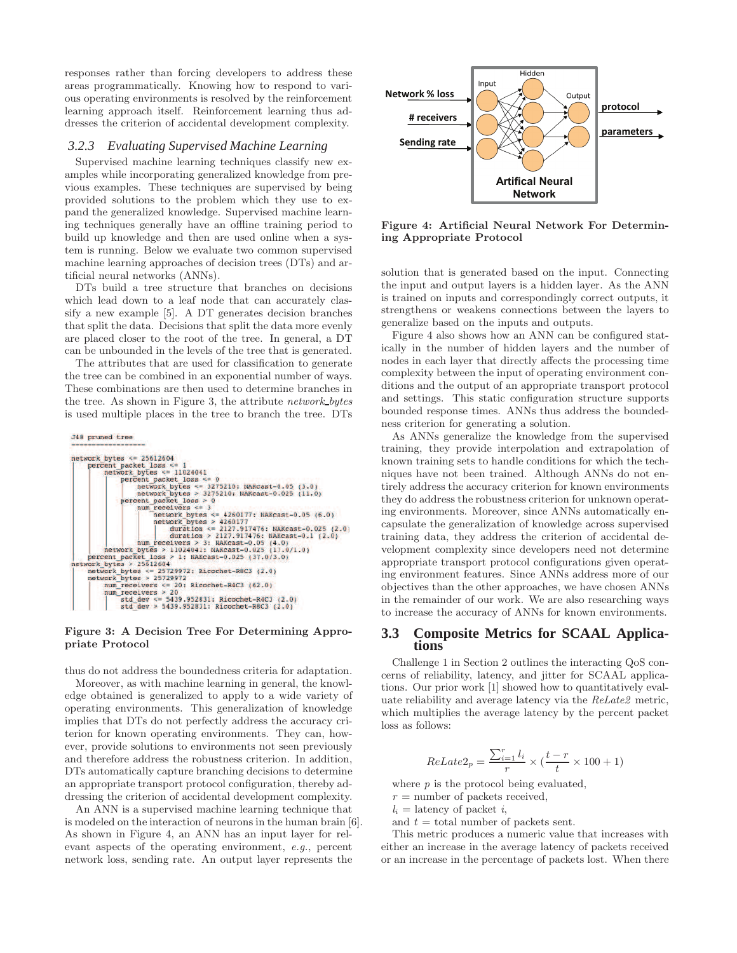responses rather than forcing developers to address these areas programmatically. Knowing how to respond to various operating environments is resolved by the reinforcement learning approach itself. Reinforcement learning thus addresses the criterion of accidental development complexity.

#### *3.2.3 Evaluating Supervised Machine Learning*

Supervised machine learning techniques classify new examples while incorporating generalized knowledge from previous examples. These techniques are supervised by being provided solutions to the problem which they use to expand the generalized knowledge. Supervised machine learning techniques generally have an offline training period to build up knowledge and then are used online when a system is running. Below we evaluate two common supervised machine learning approaches of decision trees (DTs) and artificial neural networks (ANNs).

DTs build a tree structure that branches on decisions which lead down to a leaf node that can accurately classify a new example [5]. A DT generates decision branches that split the data. Decisions that split the data more evenly are placed closer to the root of the tree. In general, a DT can be unbounded in the levels of the tree that is generated.

The attributes that are used for classification to generate the tree can be combined in an exponential number of ways. These combinations are then used to determine branches in the tree. As shown in Figure 3, the attribute network bytes is used multiple places in the tree to branch the tree. DTs



#### Figure 3: A Decision Tree For Determining Appropriate Protocol

thus do not address the boundedness criteria for adaptation.

Moreover, as with machine learning in general, the knowledge obtained is generalized to apply to a wide variety of operating environments. This generalization of knowledge implies that DTs do not perfectly address the accuracy criterion for known operating environments. They can, however, provide solutions to environments not seen previously and therefore address the robustness criterion. In addition, DTs automatically capture branching decisions to determine an appropriate transport protocol configuration, thereby addressing the criterion of accidental development complexity.

An ANN is a supervised machine learning technique that is modeled on the interaction of neurons in the human brain [6]. As shown in Figure 4, an ANN has an input layer for relevant aspects of the operating environment, e.g., percent network loss, sending rate. An output layer represents the



Figure 4: Artificial Neural Network For Determining Appropriate Protocol

solution that is generated based on the input. Connecting the input and output layers is a hidden layer. As the ANN is trained on inputs and correspondingly correct outputs, it strengthens or weakens connections between the layers to generalize based on the inputs and outputs.

Figure 4 also shows how an ANN can be configured statically in the number of hidden layers and the number of nodes in each layer that directly affects the processing time complexity between the input of operating environment conditions and the output of an appropriate transport protocol and settings. This static configuration structure supports bounded response times. ANNs thus address the boundedness criterion for generating a solution.

As ANNs generalize the knowledge from the supervised training, they provide interpolation and extrapolation of known training sets to handle conditions for which the techniques have not been trained. Although ANNs do not entirely address the accuracy criterion for known environments they do address the robustness criterion for unknown operating environments. Moreover, since ANNs automatically encapsulate the generalization of knowledge across supervised training data, they address the criterion of accidental development complexity since developers need not determine appropriate transport protocol configurations given operating environment features. Since ANNs address more of our objectives than the other approaches, we have chosen ANNs in the remainder of our work. We are also researching ways to increase the accuracy of ANNs for known environments.

#### **3.3 Composite Metrics for SCAAL Applications**

Challenge 1 in Section 2 outlines the interacting QoS concerns of reliability, latency, and jitter for SCAAL applications. Our prior work [1] showed how to quantitatively evaluate reliability and average latency via the ReLate2 metric, which multiplies the average latency by the percent packet loss as follows:

$$
ReLate2_p = \frac{\sum_{i=1}^{r} l_i}{r} \times (\frac{t-r}{t} \times 100 + 1)
$$

where  $p$  is the protocol being evaluated,

 $r =$  number of packets received,

 $l_i =$  latency of packet i,

and  $t =$  total number of packets sent.

This metric produces a numeric value that increases with either an increase in the average latency of packets received or an increase in the percentage of packets lost. When there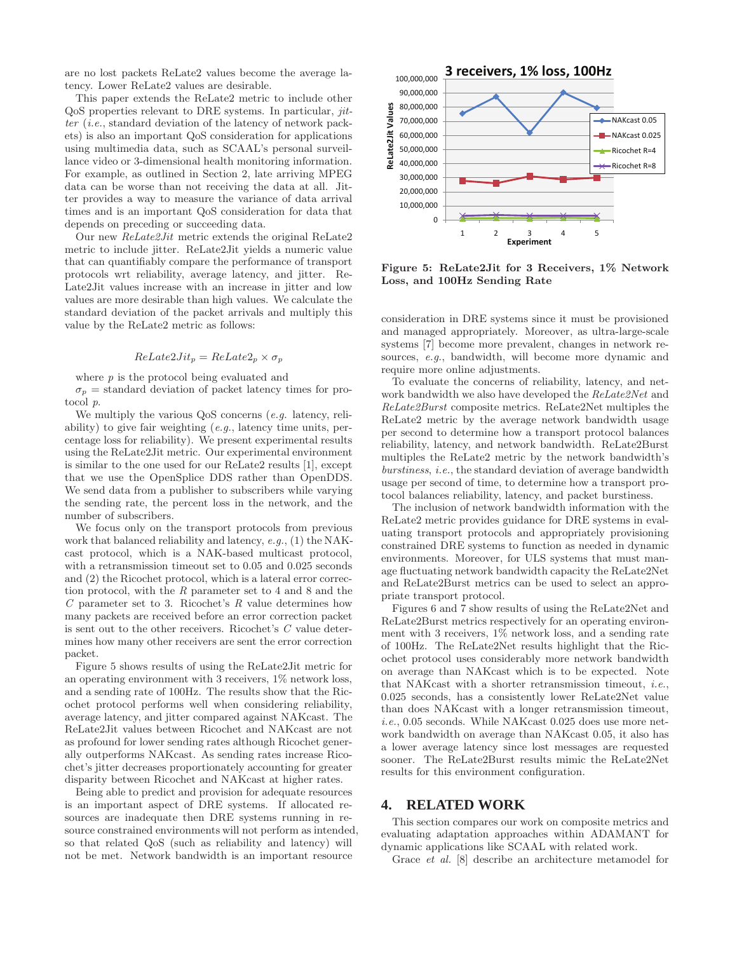are no lost packets ReLate2 values become the average latency. Lower ReLate2 values are desirable.

This paper extends the ReLate2 metric to include other  $Q$ oS properties relevant to DRE systems. In particular,  $jit$ ter (i.e., standard deviation of the latency of network packets) is also an important QoS consideration for applications using multimedia data, such as SCAAL's personal surveillance video or 3-dimensional health monitoring information. For example, as outlined in Section 2, late arriving MPEG data can be worse than not receiving the data at all. Jitter provides a way to measure the variance of data arrival times and is an important QoS consideration for data that depends on preceding or succeeding data.

Our new ReLate2Jit metric extends the original ReLate2 metric to include jitter. ReLate2Jit yields a numeric value that can quantifiably compare the performance of transport protocols wrt reliability, average latency, and jitter. Re-Late2Jit values increase with an increase in jitter and low values are more desirable than high values. We calculate the standard deviation of the packet arrivals and multiply this value by the ReLate2 metric as follows:

#### $Re Late2Jit_p = ReDate2_p \times \sigma_p$

where  $p$  is the protocol being evaluated and

 $\sigma_p$  = standard deviation of packet latency times for protocol p.

We multiply the various QoS concerns (e.g. latency, reliability) to give fair weighting (e.g., latency time units, percentage loss for reliability). We present experimental results using the ReLate2Jit metric. Our experimental environment is similar to the one used for our ReLate2 results [1], except that we use the OpenSplice DDS rather than OpenDDS. We send data from a publisher to subscribers while varying the sending rate, the percent loss in the network, and the number of subscribers.

We focus only on the transport protocols from previous work that balanced reliability and latency, e.g., (1) the NAKcast protocol, which is a NAK-based multicast protocol, with a retransmission timeout set to 0.05 and 0.025 seconds and (2) the Ricochet protocol, which is a lateral error correction protocol, with the R parameter set to 4 and 8 and the  $C$  parameter set to 3. Ricochet's  $R$  value determines how many packets are received before an error correction packet is sent out to the other receivers. Ricochet's C value determines how many other receivers are sent the error correction packet.

Figure 5 shows results of using the ReLate2Jit metric for an operating environment with 3 receivers, 1% network loss, and a sending rate of 100Hz. The results show that the Ricochet protocol performs well when considering reliability, average latency, and jitter compared against NAKcast. The ReLate2Jit values between Ricochet and NAKcast are not as profound for lower sending rates although Ricochet generally outperforms NAKcast. As sending rates increase Ricochet's jitter decreases proportionately accounting for greater disparity between Ricochet and NAKcast at higher rates.

Being able to predict and provision for adequate resources is an important aspect of DRE systems. If allocated resources are inadequate then DRE systems running in resource constrained environments will not perform as intended, so that related QoS (such as reliability and latency) will not be met. Network bandwidth is an important resource



Figure 5: ReLate2Jit for 3 Receivers, 1% Network Loss, and 100Hz Sending Rate

consideration in DRE systems since it must be provisioned and managed appropriately. Moreover, as ultra-large-scale systems [7] become more prevalent, changes in network resources, e.g., bandwidth, will become more dynamic and require more online adjustments.

To evaluate the concerns of reliability, latency, and network bandwidth we also have developed the ReLate2Net and ReLate2Burst composite metrics. ReLate2Net multiples the ReLate2 metric by the average network bandwidth usage per second to determine how a transport protocol balances reliability, latency, and network bandwidth. ReLate2Burst multiples the ReLate2 metric by the network bandwidth's burstiness, i.e., the standard deviation of average bandwidth usage per second of time, to determine how a transport protocol balances reliability, latency, and packet burstiness.

The inclusion of network bandwidth information with the ReLate2 metric provides guidance for DRE systems in evaluating transport protocols and appropriately provisioning constrained DRE systems to function as needed in dynamic environments. Moreover, for ULS systems that must manage fluctuating network bandwidth capacity the ReLate2Net and ReLate2Burst metrics can be used to select an appropriate transport protocol.

Figures 6 and 7 show results of using the ReLate2Net and ReLate2Burst metrics respectively for an operating environment with 3 receivers, 1% network loss, and a sending rate of 100Hz. The ReLate2Net results highlight that the Ricochet protocol uses considerably more network bandwidth on average than NAKcast which is to be expected. Note that NAKcast with a shorter retransmission timeout, i.e., 0.025 seconds, has a consistently lower ReLate2Net value than does NAKcast with a longer retransmission timeout, i.e., 0.05 seconds. While NAKcast 0.025 does use more network bandwidth on average than NAKcast 0.05, it also has a lower average latency since lost messages are requested sooner. The ReLate2Burst results mimic the ReLate2Net results for this environment configuration.

## **4. RELATED WORK**

This section compares our work on composite metrics and evaluating adaptation approaches within ADAMANT for dynamic applications like SCAAL with related work.

Grace et al. [8] describe an architecture metamodel for